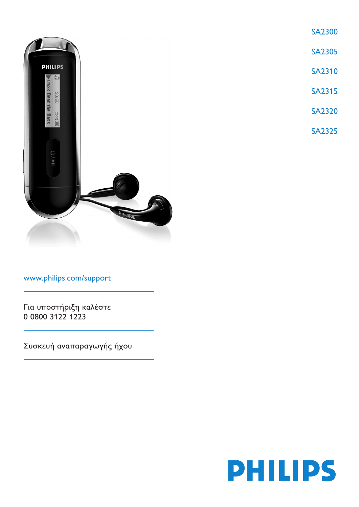

www.philips.com/support

Για υποστήριξη καλέστε 0 0800 3122 1223

Συσκευή αναπαραγωγής ήχου



**SA2305** 

SA2310

**SA2315** 

**SA2320** 

**SA2325** 

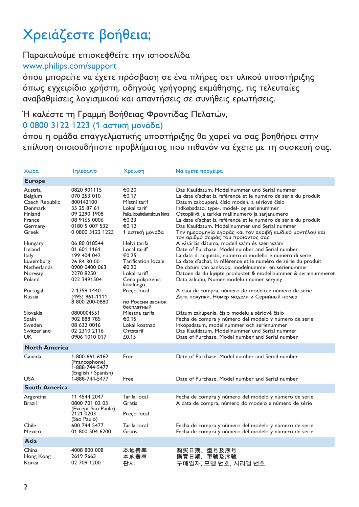# Χρειάζεστε βοήθεια;

## Παρακαλούμε επισκεφθείτε την ιστοσελίδα

### <www.philips.com/support>

όπου μπορείτε να έχετε πρόσβαση σε ένα πλήρες σετ υλικού υποστήριξης όπως εγχειρίδιο χρήστη, οδηγούς γρήγορης εκμάθησης, τις τελευταίες αναβαθμίσεις λογισμικού και απαντήσεις σε συνήθεις ερωτήσεις.

### Ή καλέστε τη Γραμμή Βοήθειας Φροντίδας Πελατών,

### 0 0800 3122 1223 (1 αστική μονάδα)

όπου η ομάδα επαγγελματικής υποστήριξης θα χαρεί να σας βοηθήσει στην επίλυση οποιουδήποτε προβλήματος που πιθανόν να έχετε με τη συσκευή σας.

| Χώρα                                                                                                                                                                                          | Τηλεφωνο                                                                                                                                                                                                                                                                                  | Χρέωση                                                                                                                                                                                                                                                                        | Να εχετε προχειρα                                                                                                                                                                                                                                                                                                                                                                                                                                                                                                                                                                                                                                                                                                                                                                                                                                                                                                                                                                             |
|-----------------------------------------------------------------------------------------------------------------------------------------------------------------------------------------------|-------------------------------------------------------------------------------------------------------------------------------------------------------------------------------------------------------------------------------------------------------------------------------------------|-------------------------------------------------------------------------------------------------------------------------------------------------------------------------------------------------------------------------------------------------------------------------------|-----------------------------------------------------------------------------------------------------------------------------------------------------------------------------------------------------------------------------------------------------------------------------------------------------------------------------------------------------------------------------------------------------------------------------------------------------------------------------------------------------------------------------------------------------------------------------------------------------------------------------------------------------------------------------------------------------------------------------------------------------------------------------------------------------------------------------------------------------------------------------------------------------------------------------------------------------------------------------------------------|
| <b>Europe</b>                                                                                                                                                                                 |                                                                                                                                                                                                                                                                                           |                                                                                                                                                                                                                                                                               |                                                                                                                                                                                                                                                                                                                                                                                                                                                                                                                                                                                                                                                                                                                                                                                                                                                                                                                                                                                               |
| Austria<br>Belgium<br>Czech Republic<br>Denmark<br>Finland<br>France<br>Germany<br>Greek<br>Hungary<br>Ireland<br>Italy<br>Luxemburg<br>Netherlands<br>Norway<br>Poland<br>Portugal<br>Russia | 0820 901115<br>070 253 010<br>800142100<br>35 25 87 61<br>09 2290 1908<br>08 9165 0006<br>0180 5 007 532<br>0 0800 3122 1223<br>06 80 018544<br>01 601 1161<br>199 404 042<br>26 84 30 00<br>0900 0400 063<br>2270 8250<br>022 3491504<br>2 1359 1440<br>(495) 961-1111<br>8 800 200-0880 | €0.20<br>€0.17<br>Místní tarif<br>Lokal tarif<br>Paikallispuhelumaksun hinta<br>€0.23<br>€0.12<br>1 αστική μονάδα<br>Helyi tarifa<br>Local tariff<br>€0.25<br>Tarification locale<br>€0.20<br>Lokal tariff<br>Cena połączenia<br>lokalnego<br>Preço local<br>по России звонок | Das Kaufdatum. Modellnummer und Serial nummer<br>La date d'achat la référence et le numéro de série du produit<br>Datum zakoupení, číslo modelu a sériové číslo<br>Indkøbsdato, type-, model- og serienummer<br>Ostopäivä ja tarkka mallinumero ja sarjanumero<br>La date d'achat la référence et le numéro de série du produit<br>Das Kaufdatum. Modellnummer und Serial nummer<br>Την ημερομηνία αγοράς και τον ακριβή κωδικό μοντέλου και<br>τον αριθμό σειράς του προϊόντος σας<br>A vásárlás dátuma, modell szám és szériaszám<br>Date of Purchase. Model number and Serial number<br>La data di acquisto, numero di modello e numero di serie<br>La date d'achat, la référence et le numéro de série du produit<br>De datum van aankoop, modelnummer en serienummer<br>Datoen da du kjøpte produktet & modellnummer & serienummeret<br>Data zakupu, Numer modelu i numer seryjny<br>A data de compra, número do modelo e número de série<br>Дата покупки, Номер модели и Серийный номер |
| Slovakia<br>Spain<br>Sweden<br>Switzerland<br>UK                                                                                                                                              | 0800004551<br>902 888 785<br>08 632 0016<br>02 2310 2116<br>0906 1010 017                                                                                                                                                                                                                 | бесплатный<br>Miestna tarifa<br>€0.15<br>Lokal kostnad<br>Ortstarif<br>£0.15                                                                                                                                                                                                  | Dátum zakúpenia, číslo modelu a sériové číslo<br>Fecha de compra y número del modelo y número de serie<br>Inköpsdatum, modellnummer och serienummer<br>Das Kaufdatum. Modellnummer und Serial nummer<br>Date of Purchase, Model number and Serial number                                                                                                                                                                                                                                                                                                                                                                                                                                                                                                                                                                                                                                                                                                                                      |
| <b>North America</b>                                                                                                                                                                          |                                                                                                                                                                                                                                                                                           |                                                                                                                                                                                                                                                                               |                                                                                                                                                                                                                                                                                                                                                                                                                                                                                                                                                                                                                                                                                                                                                                                                                                                                                                                                                                                               |
| Canada<br><b>USA</b>                                                                                                                                                                          | 1-800-661-6162<br>(Francophone)<br>1-888-744-5477<br>(English / Spanish)<br>1-888-744-5477                                                                                                                                                                                                | Free<br>Free                                                                                                                                                                                                                                                                  | Date of Purchase, Model number and Serial number<br>Date of Purchase, Model number and Serial number                                                                                                                                                                                                                                                                                                                                                                                                                                                                                                                                                                                                                                                                                                                                                                                                                                                                                          |
| <b>South America</b>                                                                                                                                                                          |                                                                                                                                                                                                                                                                                           |                                                                                                                                                                                                                                                                               |                                                                                                                                                                                                                                                                                                                                                                                                                                                                                                                                                                                                                                                                                                                                                                                                                                                                                                                                                                                               |
| Argentina<br><b>Brazil</b><br>Chile<br>Mexico                                                                                                                                                 | 11 4544 2047<br>0800 701 02 03<br>(Except Sao Paulo)<br>2121 0203<br>(Sao Paulo)<br>600 744 5477<br>01 800 504 6200                                                                                                                                                                       | Tarifa local<br>Grátis<br>Preço local<br>Tarifa local<br>Gratis                                                                                                                                                                                                               | Fecha de compra y número del modelo y número de serie<br>A data de compra, número do modelo e número de série<br>Fecha de compra y número del modelo y número de serie<br>Fecha de compra y número del modelo y número de serie                                                                                                                                                                                                                                                                                                                                                                                                                                                                                                                                                                                                                                                                                                                                                               |
| Asia                                                                                                                                                                                          |                                                                                                                                                                                                                                                                                           |                                                                                                                                                                                                                                                                               |                                                                                                                                                                                                                                                                                                                                                                                                                                                                                                                                                                                                                                                                                                                                                                                                                                                                                                                                                                                               |
| China<br>Hong Kong<br>Korea                                                                                                                                                                   | 4008 800 008<br>2619 9663<br>02 709 1200                                                                                                                                                                                                                                                  | 本地费率<br>本地費率<br>관세                                                                                                                                                                                                                                                            | 购买日期、型号及序号<br>購買日期、型號及序號<br>구매일자, 모델 번호, 시리얼 번호                                                                                                                                                                                                                                                                                                                                                                                                                                                                                                                                                                                                                                                                                                                                                                                                                                                                                                                                               |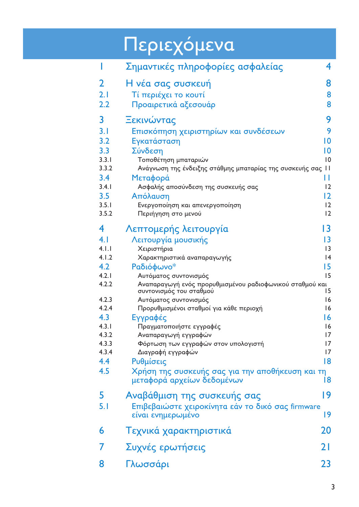# Περιεχόμενα

| ı     | Σημαντικές πληροφορίες ασφαλείας                                                    | 4               |
|-------|-------------------------------------------------------------------------------------|-----------------|
| 2     | Η νέα σας συσκευή                                                                   | 8               |
| 2.1   | Τί περιέχει το κουτί                                                                | 8               |
| 2.2   | Προαιρετικά αξεσουάρ                                                                | 8               |
| 3     | Ξεκινώντας                                                                          | 9               |
| 3.1   | Επισκόπηση χειριστηρίων και συνδέσεων                                               | 9               |
| 3.2   | Εγκατάσταση                                                                         | $\overline{10}$ |
| 3.3   | Σύνδεση                                                                             | 10              |
| 3.3.1 | Τοποθέτηση μπαταριών                                                                | 10              |
| 3.3.2 | Ανάγνωση της ένδειξης στάθμης μπαταρίας της συσκευής σας 11                         |                 |
| 3.4   | Μεταφορά                                                                            | П               |
| 3.4.1 | Ασφαλής αποσύνδεση της συσκευής σας                                                 | 12              |
| 3.5   | Απόλαυση                                                                            | 12              |
| 3.5.1 | Ενεργοποίηση και απενεργοποίηση                                                     | 12              |
| 3.5.2 | Περιήγηση στο μενού                                                                 | 12              |
| 4     | Λεπτομερής λειτουργία                                                               | 13              |
| 4.1   | Λειτουργία μουσικής                                                                 | 3               |
| 4.1.1 | Χειριστήρια                                                                         | 3               |
| 4.1.2 | Χαρακτηριστικά αναπαραγωγής                                                         | 4               |
| 4.2   | Ραδιόφωνο*                                                                          | 15              |
| 4.2.1 | Αυτόματος συντονισμός                                                               | 15              |
| 4.2.2 | Αναπαραγωγή ενός προρυθμισμένου ραδιοφωνικού σταθμού και<br>συντονισμός του σταθμού | 15              |
| 4.2.3 | Αυτόματος συντονισμός                                                               | 16              |
| 4.2.4 | Προρυθμισμένοι σταθμοί για κάθε περιοχή                                             | 16              |
| 4.3   | Εγγραφές                                                                            | 16              |
| 4.3.1 | Πραγματοποιήστε εγγραφές                                                            | 16              |
| 4.3.2 | Αναπαραγωγή εγγραφών                                                                | 17              |
| 4.3.3 | Φόρτωση των εγγραφών στον υπολογιστή                                                | 17              |
| 4.3.4 | Διαγραφή εγγραφών                                                                   | 17              |
| 4.4   | Ρυθμίσεις                                                                           | 8               |
| 4.5   | Χρήση της συσκευής σας για την αποθήκευση και τη<br>μεταφορά αρχείων δεδομένων      | Í8              |
| 5     | Αναβάθμιση της συσκευής σας                                                         | 19              |
| 5.1   | Επιβεβαιώστε χειροκίνητα εάν το δικό σας firmware<br>είναι ενημερωμένο              | 19              |
| 6     | Τεχνικά χαρακτηριστικά                                                              | 20              |
| 7     | Συχνές ερωτήσεις                                                                    | 21              |
| 8     | Γλωσσάρι                                                                            | 23              |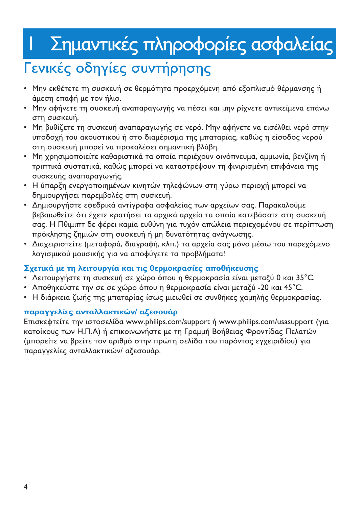# Σημαντικές πληροφορίες ασφαλείας

# Γενικές οδηγίες συντήρησης

<span id="page-3-0"></span>Ι

- Μην εκθέτετε τη συσκευή σε θερμότητα προερχόμενη από εξοπλισμό θέρμανσης ή άμεση επαφή με τον ήλιο.
- Μην αφήνετε τη συσκευή αναπαραγωγής να πέσει και μην ρίχνετε αντικείμενα επάνω στη συσκευή.
- Μη βυθίζετε τη συσκευή αναπαραγωγής σε νερό. Μην αφήνετε να εισέλθει νερό στην υποδοχή του ακουστικού ή στο διαμέρισμα της μπαταρίας, καθώς η είσοδος νερού στη συσκευή μπορεί να προκαλέσει σημαντική βλάβη.
- Μη χρησιμοποιείτε καθαριστικά τα οποία περιέχουν οινόπνευμα, αμμωνία, βενζίνη ή τριπτικά συστατικά, καθώς μπορεί να καταστρέψουν τη φινιρισμένη επιφάνεια της συσκευής αναπαραγωγής.
- Η ύπαρξη ενεργοποιημένων κινητών τηλεφώνων στη γύρω περιοχή μπορεί να δημιουργήσει παρεμβολές στη συσκευή.
- Δημιουργήστε εφεδρικά αντίγραφα ασφαλείας των αρχείων σας. Παρακαλούμε βεβαιωθείτε ότι έχετε κρατήσει τα αρχικά αρχεία τα οποία κατεβάσατε στη συσκευή σας. Η Πθιμιπτ δε φέρει καμία ευθύνη για τυχόν απώλεια περιεχομένου σε περίπτωση πρόκλησης ζημιών στη συσκευή ή μη δυνατότητας ανάγνωσης.
- Διαχειριστείτε (μεταφορά, διαγραφή, κλπ.) τα αρχεία σας μόνο μέσω του παρεχόμενο λογισμικού μουσικής για να αποφύγετε τα προβλήματα!

### Σχετικά με τη λειτουργία και τις θερμοκρασίες αποθήκευσης

- Λειτουργήστε τη συσκευή σε χώρο όπου η θερμοκρασία είναι μεταξύ 0 και 35°C.
- · Αποθηκεύστε την σε σε χώρο όπου η θερμοκρασία είναι μεταξύ -20 και 45°C.
- Η διάρκεια ζωής της μπαταρίας ίσως μιεωθεί σε συνθήκες χαμηλής θερμοκρασίας.

### παραννελίες ανταλλακτικών/ αξεσουάρ

Επισκεφτείτε την ιστοσελίδα www.philips.com/support ή www.philips.com/usasupport (για κατοίκους των Η.Π.Α) ή επικοινωνήστε με τη Γραμμή Βοήθειας Φροντίδας Πελατών (μπορείτε να βρείτε τον αριθμό στην πρώτη σελίδα του παρόντος ενχειριδίου) για παραγγελίες ανταλλακτικών/ αξεσουάρ.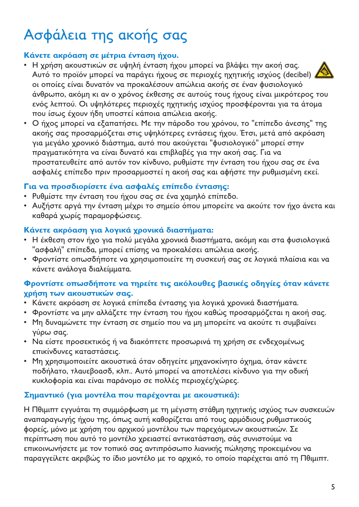# Ασφάλεια της ακοής σας

## Κάνετε ακρόαση σε μέτρια ένταση ήχου.

- Η χρήση ακουστικών σε υψηλή ένταση ήχου μπορεί να βλάψει την ακοή σας. Αυτό το προϊόν μπορεί να παράγει ήχους σε περιοχές ηχητικής ισχύος (decibel) οι οποίες είναι δυνατόν να προκαλέσουν απώλεια ακοής σε έναν φυσιολονικό άνθρωπο, ακόμη κι αν ο χρόνος έκθεσης σε αυτούς τους ήχους είναι μικρότερος του ενός λεπτού. Οι υψηλότερες περιοχές ηχητικής ισχύος προσφέρονται για τα άτομα που ίσως έχουν ήδη υποστεί κάποια απώλεια ακοής.
- Ο ήχος μπορεί να εξαπατήσει. Με την πάροδο του χρόνου, το "επίπεδο άνεσης" της ακοής σας προσαρμόζεται στις υψηλότερες εντάσεις ήχου. Έτσι, μετά από ακρόαση για μεγάλο χρονικό διάστημα, αυτό που ακούγεται "φυσιολογικό" μπορεί στην πραγματικότητα να είναι δυνατό και επιβλαβές για την ακοή σας. Για να προστατευθείτε από αυτόν τον κίνδυνο, ρυθμίστε την ένταση του ήχου σας σε ένα ασφαλές επίπεδο πριν προσαρμοστεί η ακοή σας και αφήστε την ρυθμισμένη εκεί.

### Για να προσδιορίσετε ένα ασφαλές επίπεδο έντασης:

- Ρυθμίστε την ένταση του ήγου σας σε ένα γαμηλό επίπεδο.
- Αυξήστε αργά την ένταση μέχρι το σημείο όπου μπορείτε να ακούτε τον ήχο άνετα και καθαρά χωρίς παραμορφώσεις.

### Κάνετε ακρόαση για λογικά χρονικά διαστήματα:

- Η έκθεση στον ήχο για πολύ μεγάλα χρονικά διαστήματα, ακόμη και στα φυσιολογικά "ασφαλή" επίπεδα, μπορεί επίσης να προκαλέσει απώλεια ακοής.
- Φροντίστε οπωσδήποτε να χρησιμοποιείτε τη συσκευή σας σε λογικά πλαίσια και να κάνετε ανάλογα διαλείμματα.

#### Φροντίστε οπωσδήποτε να τηρείτε τις ακόλουθες βασικές οδηγίες όταν κάνετε γρήση των ακουστικών σας.

- Κάνετε ακρόαση σε λογικά επίπεδα έντασης για λογικά χρονικά διαστήματα.
- Φροντίστε να μην αλλάζετε την ένταση του ήχου καθώς προσαρμόζεται η ακοή σας.
- Μη δυναμώνετε την ένταση σε σημείο που να μη μπορείτε να ακούτε τι συμβαίνει γύρω σας.
- Να είστε προσεκτικός ή να διακόπτετε προσωρινά τη χρήση σε ενδεχομένως επικίνδυνες καταστάσεις.
- Μη χρησιμοποιείτε ακουστικά όταν οδηγείτε μηχανοκίνητο όχημα, όταν κάνετε ποδήλατο, τλαυεβοασδ, κλπ.. Αυτό μπορεί να αποτελέσει κίνδυνο για την οδική κυκλοφορία και είναι παράνομο σε πολλές περιοχές/χώρες.

### Σημαντικό (για μοντέλα που παρέχονται με ακουστικά):

Η Πθιμιπτ εγγυάται τη συμμόρφωση με τη μέγιστη στάθμη ηχητικής ισχύος των συσκευών αναπαραγωγής ήχου της, όπως αυτή καθορίζεται από τους αρμόδιους ρυθμιστικούς φορείς, μόνο με χρήση του αρχικού μοντέλου των παρεχόμενων ακουστικών. Σε περίπτωση που αυτό το μοντέλο χρειαστεί αντικατάσταση, σάς συνιστούμε να επικοινωνήσετε με τον τοπικό σας αντιπρόσωπο λιανικής πώλησης προκειμένου να παραγγείλετε ακριβώς το ίδιο μοντέλο με το αρχικό, το οποίο παρέχεται από τη Πθιμιπτ.

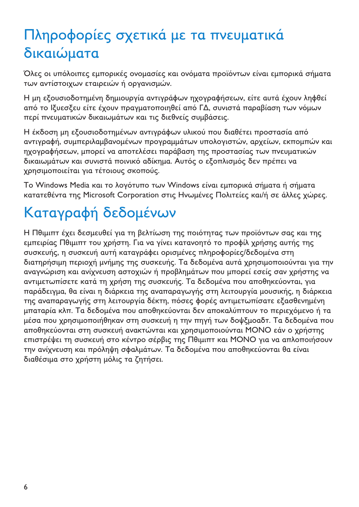# Πληροφορίες σχετικά με τα πνευματικά δικαιώματα

Όλες οι υπόλοιπες εμπορικές ονομασίες και ονόματα προϊόντων είναι εμπορικά σήματα των αντίστοιχων εταιρειών ή οργανισμών.

Η μη εξουσιοδοτημένη δημιουργία αντιγράφων ηγονραφήσεων, είτε αυτά έγουν ληφθεί από το Ιξυεσξευ είτε έχουν πραγματοποιηθεί από ΓΔ, συνιστά παραβίαση των νόμων περί πνευματικών δικαιωμάτων και τις διεθνείς συμβάσεις.

Η έκδοση μη εξουσιοδοτημένων αντιγράφων υλικού που διαθέτει προστασία από αντιγραφή, συμπεριλαμβανομένων προγραμμάτων υπολογιστών, αρχείων, εκπομπών και ηχογραφήσεων, μπορεί να αποτελέσει παράβαση της προστασίας των πνευματικών δικαιωμάτων και συνιστά ποινικό αδίκημα. Αυτός ο εξοπλισμός δεν πρέπει να χρησιμοποιείται για τέτοιους σκοπούς.

To Windows Media και το λονότυπο των Windows είναι εμπορικά σήματα ή σήματα κατατεθέντα της Microsoft Corporation στις Ηνωμένες Πολιτείες και/ή σε άλλες χώρες.

# Καταγραφή δεδομένων

Η Πθιμιπτ έχει δεσμευθεί για τη βελτίωση της ποιότητας των προϊόντων σας και της εμπειρίας Πθιμιπτ του χρήστη. Για να γίνει κατανοητό το προφίλ χρήσης αυτής της συσκευής, η συσκευή αυτή καταγράφει ορισμένες πληροφορίες/δεδομένα στη διατηρήσιμη περιοχή μνήμης της συσκευής. Τα δεδομένα αυτά χρησιμοποιούνται για την αναγνώριση και ανίχνευση αστοχιών ή προβλημάτων που μπορεί εσείς σαν χρήστης να αντιμετωπίσετε κατά τη χρήση της συσκευής. Τα δεδομένα που αποθηκεύονται, για παράδειγμα, θα είναι η διάρκεια της αναπαραγωγής στη λειτουργία μουσικής, η διάρκεια της αναπαραγωγής στη λειτουργία δέκτη, πόσες φορές αντιμετωπίσατε εξασθενημένη μπαταρία κλπ. Τα δεδομένα που αποθηκεύονται δεν αποκαλύπτουν το περιεχόμενο ή τα μέσα που χρησιμοποιήθηκαν στη συσκευή η την πηγή των δοψξμοαδτ. Τα δεδομένα που αποθηκεύονται στη συσκευή ανακτώνται και χρησιμοποιούνται ΜΟΝΟ εάν ο χρήστης επιστρέψει τη συσκευή στο κέντρο σέρβις της Πθιμιπτ και ΜΟΝΟ για να απλοποιήσουν την ανίχνευση και πρόληψη σφαλμάτων. Τα δεδομένα που αποθηκεύονται θα είναι διαθέσιμα στο χρήστη μόλις τα ζητήσει.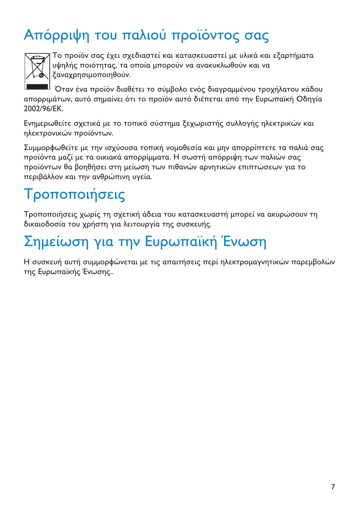# Απόρριψη του παλιού προϊόντος σας



Το προϊόν σας έχει σχεδιαστεί και κατασκευαστεί με υλικά και εξαρτήματα υψηλής ποιότητας, τα οποία μπορούν να ανακυκλωθούν και να ξαναχρησιμοποιηθούν.

Όταν ένα προϊόν διαθέτει το σύμβολο ενός διαγραμμένου τροχήλατου κάδου απορριμάτων, αυτό σημαίνει ότι το προϊόν αυτό διέπεται από την Ευρωπαϊκή Οδηγία 2002/96/FK

Ενημερωθείτε σχετικά με το τοπικό σύστημα ξεχωριστής συλλογής ηλεκτρικών και ηλεκτρονικών προϊόντων.

Συμμορφωθείτε με την ισχύουσα τοπική νομοθεσία και μην απορρίπτετε τα παλιά σας προϊόντα μαζί με τα οικιακά απορρίμματα. Η σωστή απόρριψη των παλιών σας προϊόντων θα βοηθήσει στη μείωση των πιθανών αρνητικών επιπτώσεων για το περιβάλλον και την ανθρώπινη υγεία.

# Τροποποιήσεις

Τροποποιήσεις χωρίς τη σχετική άδεια του κατασκευαστή μπορεί να ακυρώσουν τη δικαιοδοσία του χρήστη για λειτουργία της συσκευής.

# Σημείωση για την Ευρωπαϊκή Ένωση

Η συσκευή αυτή συμμορφώνεται με τις απαιτήσεις περί ηλεκτρομαγνητικών παρεμβολών της Ευρωπαϊκής Ένωσης..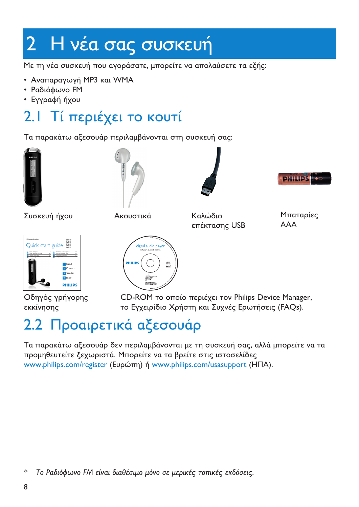# <span id="page-7-0"></span>2 Η νέα σας συσκευή

Με τη νέα συσκευή που αγοράσατε, μπορείτε να απολαύσετε τα εξής:

- Αναπαραγωγή MP3 και WMA
- Ραδιόφωνο FM
- Εγγραφή ήχου

#### Τί περιέχει το κουτί  $2.1$

Τα παρακάτω αξεσουάρ περιλαμβάνονται στη συσκευή σας:









Συσκευή ήχου

Ακουστικά

Καλώδιο επέκτασης USB

Μπαταρίες **AAA** 



Οδηγός γρήγορης εκκίνησης



CD-ROM το οποίο περιέχει τον Philips Device Manager, το Ενγειρίδιο Χρήστη και Συγγές Ερωτήσεις (FAOs).

# 2.2 Προαιρετικά αξεσουάρ

Τα παρακάτω αξεσουάρ δεν περιλαμβάνονται με τη συσκευή σας, αλλά μπορείτε να τα προμηθευτείτε ξεχωριστά. Μπορείτε να τα βρείτε στις ιστοσελίδες www.philips.com/register (Ευρώπη) ή www.philips.com/usasupport (ΗΠΑ).

 $\ast$ Το Ραδιόφωνο FM είναι διαθέσιμο μόνο σε μερικές τοπικές εκδόσεις.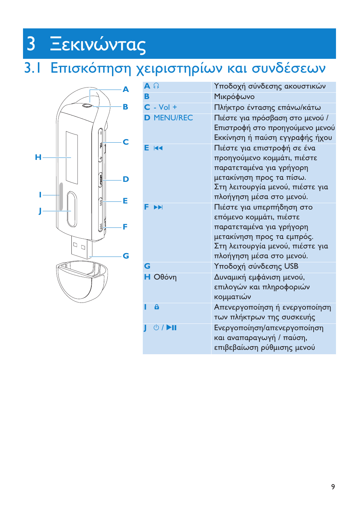# <span id="page-8-0"></span>3 Ξεκινώντας

# 3.1 Επισκόπηση χειριστηρίων και συνδέσεων



| $A \cap$ |                                    | Υποδοχή σύνδεσης ακουστικών                                                                                                                                                        |
|----------|------------------------------------|------------------------------------------------------------------------------------------------------------------------------------------------------------------------------------|
| B        |                                    | Μικρόφωνο                                                                                                                                                                          |
|          | $C - Vol +$                        | Πλήκτρο έντασης επάνω/κάτω                                                                                                                                                         |
|          | <b>D MENU/REC</b>                  | Πιέστε για πρόσβαση στο μενού /<br>Επιστροφή στο προηγούμενο μενού<br>Εκκίνηση ή παύση εγγραφής ήχου                                                                               |
|          | E R4                               | Πιέστε για επιστροφή σε ένα<br>προηγούμενο κομμάτι, πιέστε<br>παρατεταμένα για γρήγορη<br>μετακίνηση προς τα πίσω.<br>Στη λειτουργία μενού, πιέστε για<br>πλοήγηση μέσα στο μενού. |
|          | EE                                 | Πιέστε για υπερπήδηση στο<br>επόμενο κομμάτι, πιέστε<br>παρατεταμένα για γρήγορη<br>μετακίνηση προς τα εμπρός.<br>Στη λειτουργία μενού, πιέστε για<br>πλοήγηση μέσα στο μενού.     |
| G        |                                    | Υποδοχή σύνδεσης USB                                                                                                                                                               |
|          | $H$ Οθόνη                          | Δυναμική εμφάνιση μενού,<br>επιλογών και πληροφοριών<br>κομματιών                                                                                                                  |
|          | a                                  | Απενεργοποίηση ή ενεργοποίηση<br>των πλήκτρων της συσκευής                                                                                                                         |
| ı        | $\circ$ / $\blacktriangleright$ II | Ενεργοποίηση/απενεργοποίηση<br>και αναπαραγωγή / παύση,<br>επιβεβαίωση ρύθμισης μενού                                                                                              |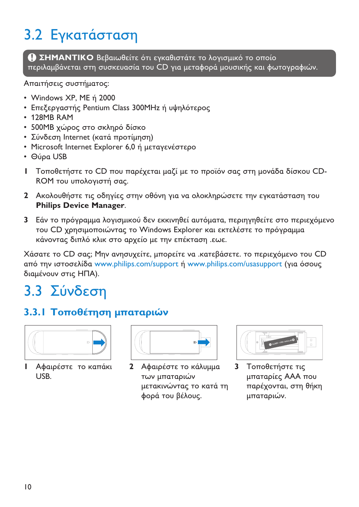# <span id="page-9-0"></span>3.2 Εγκατάσταση

**ΣΗΜΑΝΤΙΚΟ** Βεβαιωθείτε ότι εγκαθιστάτε το λογισμικό το οποίο περιλαμβάνεται στη συσκευασία του CD για μεταφορά μουσικής και φωτογραφιών.

Απαιτήσεις συστήματος:

- Windows XP, ME n 2000
- Επεξεργαστής Pentium Class 300MHz ή υψηλότερος
- 128MB RAM
- 500MB χώρος στο σκληρό δίσκο
- Σύνδεση Internet (κατά προτίμηση)
- Microsoft Internet Explorer 6,0
- Θύρα USB
- **Ι** Τοποθετήστε το CD που παρέχεται μαζί με το προϊόν σας στη μονάδα δίσκου CD-ROM του υπολογιστή σας.
- **2** Ακολουθήστε τις οδηγίες στην οθόνη για να ολοκληρώσετε την εγκατάσταση του **Philips Device Manager**.
- **3** Εάν το πρόγραμμα λογισμικού δεν εκκινηθεί αυτόματα, περιηγηθείτε στο περιεχόμενο του CD χρησιμοποιώντας το Windows Explorer και εκτελέστε το πρόγραμμα κάνοντας διπλό κλικ στο αρχείο με την επέκταση .εωε.

Χάσατε το CD σας; Μην ανησυχείτε, μπορείτε να .κατεβάσετε. το περιεχόμενο του CD από την ιστοσελίδα <www.philips.com/support> ή <www.philips.com/usasupport> (για όσους διαμένουν στις ΗΠΑ).

# 3.3 Σύνδεση

# 3.3.1 Τοποθέτηση μπαταριών



**Ι** Αφαιρέστε το καπάκι USB.

| 10 |
|----|
|    |

**2** Αφαιρέστε το κάλυμμα των μπαταριών μετακινώντας το κατά τη φορά του βέλους.

| O MORAL HALL COLLEGE<br>a |
|---------------------------|
|---------------------------|

**3** Τοποθετήστε τις μπαταρίες ΑΑΑ που παρέχονται, στη θήκη μπαταριών.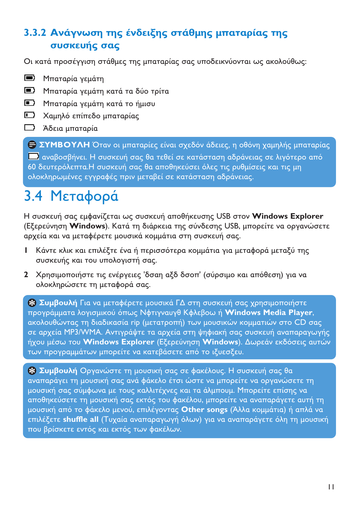# <span id="page-10-0"></span>3.3.2 Ανάγνωση της ένδειξης στάθμης μπαταρίας της *συσκευής σας*

Οι κατά προσέγγιση στάθμες της μπαταρίας σας υποδεικνύονται ως ακολούθως:

- Μπαταρία γεμάτη
- Μπαταρία γεμάτη κατά τα δύο τρίτα
- Μπαταρία γεμάτη κατά το ήμισυ
- Χαμηλό επίπεδο μπαταρίας
- Άδεια μπαταρία

**ΣΥΜΒΟΥΛΗ** Όταν οι μπαταρίες είναι σχεδόν άδειες, η οθόνη χαμηλής μπαταρίας αναβοσβήνει. Η συσκευή σας θα τεθεί σε κατάσταση αδράνειας σε λιγότερο από 60 δευτερόλεπτα.Η συσκευή σας θα αποθηκεύσει όλες τις ρυθμίσεις και τις μη ολοκληρωμένες εγγραφές πριν μεταβεί σε κατάσταση αδράνειας.

# 3.4 Μεταφορά

Η συσκευή σας εμφανίζεται ως συσκευή αποθήκευσης USB στον **Windows Explorer** (Εξερεύνηση **Windows**). Κατά τη διάρκεια της σύνδεσης USB, μπορείτε να οργανώσετε αρχεία και να μεταφέρετε μουσικά κομμάτια στη συσκευή σας.

- **Ι** Κάντε κλικ και επιλέξτε ένα ή περισσότερα κομμάτια για μεταφορά μεταξύ της συσκευής και του υπολογιστή σας.
- **2** Χρησιμοποιήστε τις ενέργειες 'δσαη αξδ δσοπ' (σύρσιμο και απόθεση) για να ολοκληρώσετε τη μεταφορά σας.

**Συμβουλή** Για να μεταφέρετε μουσικά ΓΔ στη συσκευή σας χρησιμοποιήστε προγράμματα λογισμικού όπως Νφτιγναυγθ Κφλεβοω ή **Windows Media Player**, ακολουθώντας τη διαδικασία rip (μετατροπή) των μουσικών κομματιών στο CD σας σε αρχεία MP3/WMA. Αντιγράψτε τα αρχεία στη ψηφιακή σας συσκευή αναπαραγωγής ήχου μέσω του **Windows Explorer** (Εξερεύνηση **Windows**). Δωρεάν εκδόσεις αυτών των προγραμμάτων μπορείτε να κατεβάσετε από το ιξυεσξευ.

**Συμβουλή** Οργανώστε τη μουσική σας σε φακέλους. Η συσκευή σας θα αναπαράγει τη μουσική σας ανά φάκελο έτσι ώστε να μπορείτε να οργανώσετε τη μουσική σας σύμφωνα με τους καλλιτέχνες και τα άλμπουμ. Μπορείτε επίσης να αποθηκεύσετε τη μουσική σας εκτός του φακέλου, μπορείτε να αναπαράγετε αυτή τη μουσική από το φάκελο μενού, επιλέγοντας **Other songs** (Άλλα κομμάτια) ή απλά να επιλέξετε **shuffle all** (Τυχαία αναπαραγωγή όλων) για να αναπαράγετε όλη τη μουσική που βρίσκετε εντός και εκτός των φακέλων.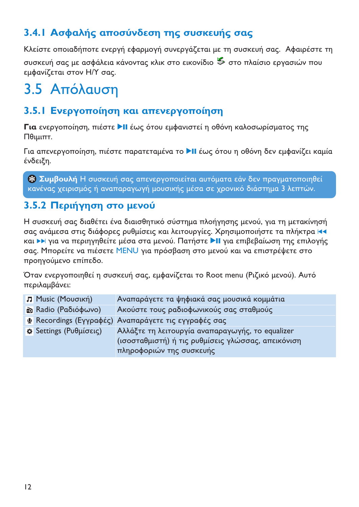# <span id="page-11-0"></span>3.4.1 Ασφαλής αποσύνδεση της συσκευής σας

Κλείστε οποιαδήποτε ενεργή εφαρμογή συνεργάζεται με τη συσκευή σας. Αφαιρέστε τη

συσκευή σας με ασφάλεια κάνοντας κλικ στο εικονίδιο & στο πλαίσιο εργασιών που εμφανίζεται στον Η/Υ σας.

# 3.5 Απόλαυση

# 3.5.1 Ενεργοποίηση και απενεργοποίηση

Για ενεργοποίηση, πιέστε >ΙΙ έως ότου εμφανιστεί η οθόνη καλοσωρίσματος της  $Πθιμιπτ.$ 

Για απενεργοποίηση, πιέστε παρατεταμένα το ▶II έως ότου η οθόνη δεν εμφανίζει καμία ένδειξη.

**% Συμβουλή** Η συσκευή σας απενεργοποιείται αυτόματα εάν δεν πραγματοποιηθεί κανένας χειρισμός ή αναπαραγωγή μουσικής μέσα σε χρονικό διάστημα 3 λεπτών.

# 3.5.2 Περιήγηση στο μενού

Η συσκευή σας διαθέτει ένα διαισθητικό σύστημα πλοήγησης μενού, για τη μετακίνησή σας ανάμεσα στις διάφορες ρυθμίσεις και λειτουργίες. Χρησιμοποιήστε τα πλήκτρα 144 και > για να περιηγηθείτε μέσα στα μενού. Πατήστε > II για επιβεβαίωση της επιλογής σας. Μπορείτε να πιέσετε MENU για πρόσβαση στο μενού και να επιστρέψετε στο προηγούμενο επίπεδο.

Όταν ενεργοποιηθεί η συσκευή σας, εμφανίζεται το Root menu (Ριζικό μενού). Αυτό περιλαμβάνει:

| <b>Π</b> Music (Μουσική)            | Αναπαράγετε τα ψηφιακά σας μουσικά κομμάτια          |
|-------------------------------------|------------------------------------------------------|
| in Radio (Ραδιόφωνο)                | Ακούστε τους ραδιοφωνικούς σας σταθμούς              |
|                                     | Ψ Recordings (Εγγραφές) Αναπαράγετε τις εγγραφές σας |
| $\mathfrak{p}$ Settings (Ρυθμίσεις) | Αλλάξτε τη λειτουργία αναπαραγωγής, το equalizer     |
|                                     | (ισοσταθμιστή) ή τις ρυθμίσεις γλώσσας, απεικόνιση   |
|                                     | πληροφοριών της συσκευής                             |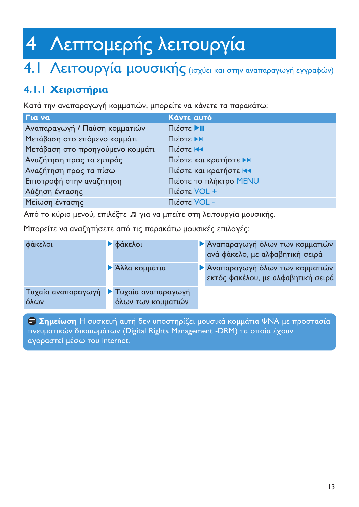# <span id="page-12-0"></span>Λεπτομερής λειτουργία  $\overline{4}$

# 4. | Λειτουργία μουσικής (ισχύει και στην αναπαραγωγή εγγραφών)

# 4.1.1 Χειριστήρια

Κατά την αναπαραγωγή κομματιών, μπορείτε να κάνετε τα παρακάτω:

| Για να                           | Κάντε αυτό             |
|----------------------------------|------------------------|
| Αναπαραγωγή / Παύση κομματιών    | Πιέστε ▶Ⅱ              |
| Μετάβαση στο επόμενο κομμάτι     | Πιέστε ▶▶              |
| Μετάβαση στο προηγούμενο κομμάτι | Πιέστε κα              |
| Αναζήτηση προς τα εμπρός         | Πιέστε και κρατήστε ▶▶ |
| Αναζήτηση προς τα πίσω           | Πιέστε και κρατήστε 14 |
| Επιστροφή στην αναζήτηση         | Πιέστε το πλήκτρο ΜΕΝU |
| Αύξηση έντασης                   | Πιέστε VOL +           |
| Μείωση έντασης                   | Πιέστε VOL -           |

Από το κύριο μενού, επιλέξτε Π για να μπείτε στη λειτουργία μουσικής.

Μπορείτε να αναζητήσετε από τις παρακάτω μουσικές επιλογές:

| φάκελοι                    | <b>φάκελοι</b>                                   | <b>Αναπαραγωγή όλων των κομματιών</b><br>ανά φάκελο, με αλφαβητική σειρά |
|----------------------------|--------------------------------------------------|--------------------------------------------------------------------------|
|                            | ▶ Άλλα κομμάτια                                  | ▶ Αναπαραγωγή όλων των κομματιών<br>εκτός φακέλου, με αλφαβητική σειρά   |
| Τυχαία αναπαραγωγή<br>όλων | <b>T</b> υχαία αναπαραγωγή<br>όλων των κομματιών |                                                                          |

**ε Σημείωση** Η συσκευή αυτή δεν υποστηρίζει μουσικά κομμάτια ΨΝΑ με προστασία πνευματικών δικαιωμάτων (Digital Rights Management -DRM) τα οποία έχουν αγοραστεί μέσω του internet.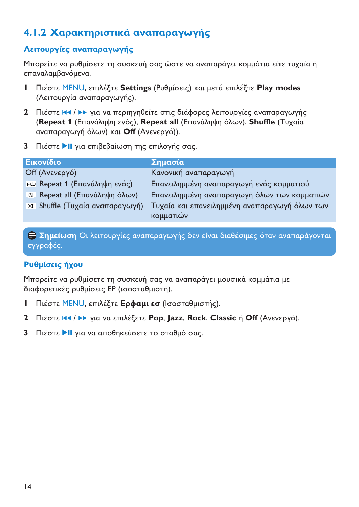# <span id="page-13-0"></span>4.1.2 Χαρακτηριστικά αναπαραγωγής

#### Λειτουργίες αναπαραγωγής

Μπορείτε να ρυθμίσετε τη συσκευή σας ώστε να αναπαράγει κομμάτια είτε τυχαία ή επαναλαμβανόμενα.

- I Πιέστε MENU, επιλέξτε Settings (Ρυθμίσεις) και μετά επιλέξτε Play modes (Λειτουργία αναπαραγωγής).
- 2 Πιέστε 14 / Η για να περιηγηθείτε στις διάφορες λειτουργίες αναπαραγωγής (Repeat 1 (Επανάληψη ενός), Repeat all (Επανάληψη όλων), Shuffle (Τυχαία αναπαραγωγή όλων) και Off (Ανενεργό)).
- 3 Πιέστε >II νια επιβεβαίωση της επιλονής σας.

| Εικονίδιο                                 | Σημασία                                                    |
|-------------------------------------------|------------------------------------------------------------|
| Off (Ανενεργό)                            | Κανονική αναπαραγωγή                                       |
| <sup>1-ερ</sup> Repeat 1 (Επανάληψη ενός) | Επανειλημμένη αναπαραγωγή ενός κομματιού                   |
| <b>c</b> Repeat all (Επανάληψη όλων)      | Επανειλημμένη αναπαραγωγή όλων των κομματιών               |
| * Shuffle (Τυχαία αναπαραγωγή)            | Τυχαία και επανειλημμένη αναπαραγωγή όλων των<br>κομματιών |

**Ε Σημείωση** Οι λειτουργίες αναπαραγωγής δεν είναι διαθέσιμες όταν αναπαράγονται εγγραφές.

### Ρυθμίσεις ήχου

Μπορείτε να ρυθμίσετε τη συσκευή σας να αναπαράγει μουσικά κομμάτια με διαφορετικές ρυθμίσεις ΕΡ (ισοσταθμιστή).

- Πιέστε MENU, επιλέξτε **Ερφαμι εσ** (Ισοσταθμιστής).  $\mathbf{L}$
- 2 Πιέστε 14 / > για να επιλέξετε Pop. lazz. Rock. Classic ή Off (Ανενεργό).
- 3 Πιέστε >II για να αποθηκεύσετε το σταθμό σας.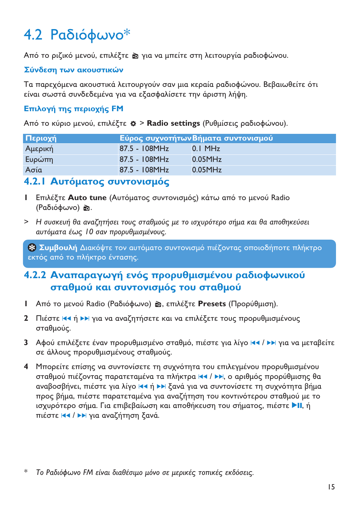# <span id="page-14-0"></span>4.2 Ραδιόφωνο<sup>\*</sup>

Από το ριζικό μενού, επιλέξτε ☎ για να μπείτε στη λειτουργία ραδιοφώνου.

#### Σύνδεση των ακουστικών

Τα παρεχόμενα ακουστικά λειτουργούν σαν μια κεραία ραδιοφώνου. Βεβαιωθείτε ότι είναι σωστά συνδεδεμένα για να εξασφαλίσετε την άριστη λήψη.

#### **Επιλογή της περιοχής FM**

Από το κύριο μενού, επιλέξτε **Φ > Radio settings** (Ρυθμίσεις ραδιοφώνου).

| Περιοχή |                  | Εύρος συχνοτήτωνΒήματα συντονισμού |
|---------|------------------|------------------------------------|
| Αμερική | $87.5 - 108 MHz$ | $0.1$ MH <sub>z</sub>              |
| Ευρώπη  | $87.5 - 108 MHz$ | $0.05$ MH <sub>z</sub>             |
| Ασία    | $87.5 - 108 MHz$ | $0.05$ MH <sub>z</sub>             |

# **4.2.1 Αυτόματος συντονισμός**

- **I** Επιλέξτε Auto tune (Αυτόματος συντονισμός) κάτω από το μενού Radio (Ραδιόφωνο) છે.
- > Η συσκευή θα αναζητήσει τους σταθμούς με το ισχυρότερο σήμα και θα αποθηκεύσει αυτόματα έως 10 σαν προρυθμισμένους.

**Συμβουλή** Διακόψτε τον αυτόματο συντονισμό πιέζοντας οποιοδήποτε πλήκτρο εκτός από το πλήκτρο έντασης.

# 4.2.2 Αναπαραγωγή ενός προρυθμισμένου ραδιοφωνικού σταθμού και συντονισμός του σταθμού

- l Aπό το μενού Radio (Ραδιόφωνο) **ω**, επιλέξτε **Presets** (Προρύθμιση).
- **2** Πιέστε Η ή ▶▶ για να αναζητήσετε και να επιλέξετε τους προρυθμισμένους σταθμούς.
- **3** Αφού επιλέξετε έναν προρυθμισμένο σταθμό, πιέστε για λίγο ΙΔΑ / DN για να μεταβείτε σε άλλους προρυθμισμένους σταθμούς.
- **4** Μπορείτε επίσης να συντονίσετε τη συχνότητα του επιλεγμένου προρυθμισμένου σταθμού πιέζοντας παρατεταμένα τα πλήκτρα |◀◀ / ▶▶, ο αριθμός προρύθμισης θα αναβοσβήνει, πιέστε για λίγο Ι<< ή ▶▶ ξανά για να συντονίσετε τη συχνότητα βήμα προς βήμα, πιέστε παρατεταμένα για αναζήτηση του κοντινότερου σταθμού με το ισχυρότερο σήμα. Για επιβεβαίωση και αποθήκευση του σήματος, πιέστε ▶Ⅱ, ή πιέστε Η / ▶▶ για αναζήτηση ξανά.
- \* Το Ραδιόφωνο FM είναι διαθέσιμο μόνο σε μερικές τοπικές εκδόσεις.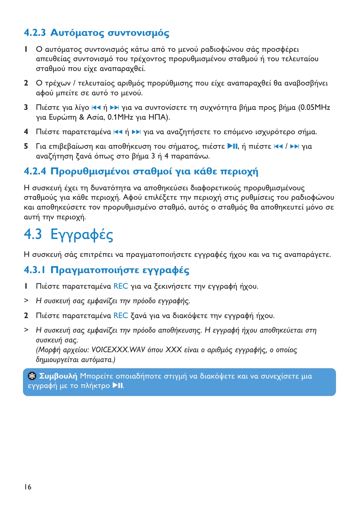# <span id="page-15-0"></span>4.2.3 Αυτόματος συντονισμός

- Ι Ο αυτόματος συντονισμός κάτω από το μενού ραδιοφώνου σάς προσφέρει απευθείας συντονισμό του τρέχοντος προρυθμισμένου σταθμού ή του τελευταίου σταθμού που είχε αναπαραχθεί.
- 2 Ο τρέχων / τελευταίος αριθμός προρύθμισης που είχε αναπαραχθεί θα αναβοσβήνει αφού μπείτε σε αυτό το μενού.
- 3 Πιέστε για λίγο 111 ή >> για να συντονίσετε τη συχνότητα βήμα προς βήμα (0.05MHz για Ευρώπη & Ασία, 0.1ΜΗ για ΗΠΑ).
- 4 Πιέστε παρατεταμένα και ή >> για να αναζητήσετε το επόμενο ισχυρότερο σήμα.
- 5 Για επιβεβαίωση και αποθήκευση του σήματος, πιέστε **-II**, ή πιέστε H4 / EH για αναζήτηση ξανά όπως στο βήμα 3 ή 4 παραπάνω.

# 4.2.4 Προρυθμισμένοι σταθμοί για κάθε περιοχή

Η συσκευή έχει τη δυνατότητα να αποθηκεύσει διαφορετικούς προρυθμισμένους σταθμούς για κάθε περιοχή. Αφού επιλέξετε την περιοχή στις ρυθμίσεις του ραδιοφώνου και αποθηκεύσετε τον προρυθμισμένο σταθμό, αυτός ο σταθμός θα αποθηκευτεί μόνο σε αυτή την περιοχή.

# 4.3 Evypadéc

Η συσκευή σάς επιτρέπει να πραγματοποιήσετε εγγραφές ήχου και να τις αναπαράγετε.

# 4.3.1 Πραγματοποιήστε εγγραφές

- Πιέστε παρατεταμένα REC για να ξεκινήσετε την εννραφή ήχου.  $\mathbf{L}$
- > Η συσκευή σας εμφανίζει την πρόοδο εγγραφής.
- 2 Πιέστε παρατεταμένα REC ξανά για να διακόψετε την εγγραφή ήχου.
- > Η συσκευή σας εμφανίζει την πρόοδο αποθήκευσης. Η εγγραφή ήχου αποθηκεύεται στη συσκευή σας.

(Μορφή αρχείου: VOICEXXX.WAV όπου XXX είναι ο αριθμός εγγραφής, ο οποίος δημιουργείται αυτόματα.)

**& Συμβουλή** Μπορείτε οποιαδήποτε στιγμή να διακόψετε και να συνεχίσετε μια εγγραφή με το πλήκτρο **>II**.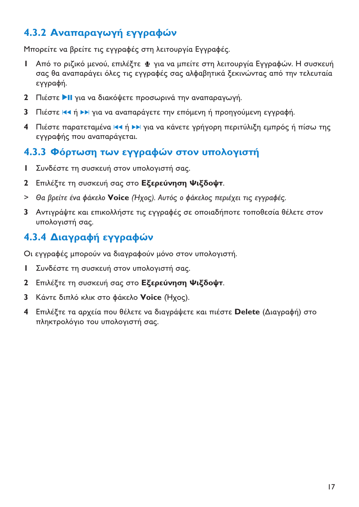# <span id="page-16-0"></span>4.3.2 Αναπαραγωγή εγγραφών

Μπορείτε να βρείτε τις εγγραφές στη λειτουργία Εγγραφές.

- Ι Από το ριζικό μενού, επιλέξτε ψ για να μπείτε στη λειτουργία Εγγραφών. Η συσκευή σας θα αναπαράγει όλες τις εγγραφές σας αλφαβητικά ξεκινώντας από την τελευταία εγγραφή.
- **2** Πιέστε ▶ΙΙ για να διακόψετε προσωρινά την αναπαραγωγή.
- **3** Πιέστε Κα ή ΣΣ για να αναπαράγετε την επόμενη ή προηγούμενη εγγραφή.
- **4** Πιέστε παρατεταμένα Ισα ή ▶▶ για να κάνετε γρήγορη περιτύλιξη εμπρός ή πίσω της εγγραφής που αναπαράγεται.

# 4.3.3 Φόρτωση των εγγραφών στον υπολογιστή

- **Ι** Συνδέστε τη συσκευή στον υπολογιστή σας.
- **2** Επιλέξτε τη συσκευή σας στο **Εξερεύνηση Ψιξδοψτ**.
- **>** Θα βρείτε ένα φάκελο **Voice** (Ήχος). Αυτός ο φάκελος περιέχει τις εγγραφές.
- **3** Αντιγράψτε και επικολλήστε τις εγγραφές σε οποιαδήποτε τοποθεσία θέλετε στον υπολογιστή σας.

# 4.3.4 Διαγραφή εγγραφών

Οι εγγραφές μπορούν να διαγραφούν μόνο στον υπολογιστή.

- **Ι** Συνδέστε τη συσκευή στον υπολογιστή σας.
- **2** Επιλέξτε τη συσκευή σας στο **Εξερεύνηση Ψιξδοψτ**.
- **3** Κάντε διπλό κλικ στο φάκελο **Voice** (Ηχος).
- **4** Επιλέξτε τα αρχεία που θέλετε να διαγράψετε και πιέστε **Delete** (Διαγραφή) στο πληκτρολόγιο του υπολογιστή σας.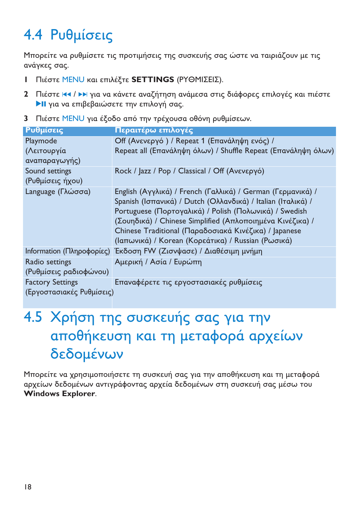# <span id="page-17-0"></span>4.4 Ρυθμίσεις

Μπορείτε να ρυθμίσετε τις προτιμήσεις της συσκευής σας ώστε να ταιριάζουν με τις ανάγκες σας.

- **Ι** Πιέστε ΜΕΝU και επιλέξτε **SETTINGS** (ΡΥΘΜΙΣΕΙΣ).
- **2** Πιέστε <del>|∢∢</del> / ▶▶ για να κάνετε αναζήτηση ανάμεσα στις διάφορες επιλογές και πιέστε ▶ΙΙ για να επιβεβαιώσετε την επιλογή σας.
- **3** Πιέστε <u>MENU</u> για έξοδο από την τρέχουσα οθόνη ρυθμίσεων.

| Ρυθμίσεις                 | Περαιτέρω επιλογές                                               |
|---------------------------|------------------------------------------------------------------|
| Playmode                  | Off (Ανενεργό) / Repeat 1 (Επανάληψη ενός) /                     |
| (Λειτουργία               | Repeat all (Επανάληψη όλων) / Shuffle Repeat (Επανάληψη όλων)    |
| αναπαραγωγής)             |                                                                  |
| Sound settings            | Rock / Jazz / Pop / Classical / Off (Ανενεργό)                   |
| (Ρυθμίσεις ήχου)          |                                                                  |
| Language (Γλώσσα)         | English (Αγγλικά) / French (Γαλλικά) / German (Γερμανικά) /      |
|                           | Spanish (Ισπανικά) / Dutch (Ολλανδικά) / Italian (Ιταλικά) /     |
|                           | Portuguese (Πορτογαλικά) / Polish (Πολωνικά) / Swedish           |
|                           | (Σουηδικά) / Chinese Simplified (Απλοποιημένα Κινέζικα) /        |
|                           | Chinese Traditional (Παραδοσιακά Κινέζικα) / Japanese            |
|                           | (Ιαπωνικά) / Korean (Κορεάτικα) / Russian (Ρωσικά)               |
|                           | Information (Πληροφορίες) Έκδοση FW (Ζισνψασε) / Διαθέσιμη μνήμη |
| Radio settings            | Αμερική / Ασία / Ευρώπη                                          |
| (Ρυθμίσεις ραδιοφώνου)    |                                                                  |
| <b>Factory Settings</b>   | Επαναφέρετε τις εργοστασιακές ρυθμίσεις                          |
| (Εργοστασιακές Ρυθμίσεις) |                                                                  |

# 4.5 Χρήση της συσκευής σας για την αποθήκευση και τη μεταφορά αρχείων δεδομένων

Μπορείτε να χρησιμοποιήσετε τη συσκευή σας για την αποθήκευση και τη μεταφορά αρχείων δεδομένων αντιγράφοντας αρχεία δεδομένων στη συσκευή σας μέσω του **Windows Explorer**.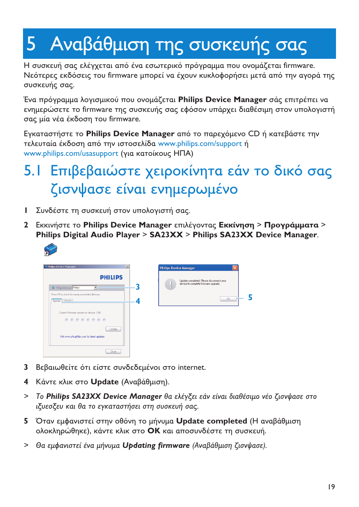# <span id="page-18-0"></span>5 Αναβάθμιση της συσκευής σας

Η συσκευή σας ελέγχεται από ένα εσωτερικό πρόγραμμα που ονομάζεται firmware. Νεότερες εκδόσεις του firmware μπορεί να έχουν κυκλοφορήσει μετά από την αγορά της συσκευής σας.

Ένα πρόγραμμα λογισμικού που ονομάζεται **Philips Device Manager** σάς επιτρέπει να ενημερώσετε το firmware της συσκευής σας εφόσον υπάρχει διαθέσιμη στον υπολογιστή σας μία νέα έκδοση του firmware.

Εγκαταστήστε το **Philips Device Manager** από το παρεχόμενο CD ή κατεβάστε την τελευταία έκδοση από την ιστοσελίδα <www.philips.com/support> ή www.philips.com/usasupport (για κατοίκους ΗΠΑ)

# 5.Ι Επιβεβαιώστε χειροκίνητα εάν το δικό σας ζισνψασε είναι ενημερωμένο

- **Ι** Συνδέστε τη συσκευή στον υπολογιστή σας.
- $\,$ 2  $\,$  Εκκινήστε το Philips Device Manager επιλέγοντας Εκ**κίνηση > Προγράμματα > Philips Digital Audio Player** > **SA23XX** > **Philips SA23XX Device Manager**.



| 3 | Update completed. Please disconnect your<br>device to complete firmware upgrade. |
|---|----------------------------------------------------------------------------------|
| ۷ | OK.                                                                              |
|   |                                                                                  |
|   |                                                                                  |

- **3** Βεβαιωθείτε ότι είστε συνδεδεμένοι στο internet.
- **4** Κάντε κλικ στο **Update** (Αναβάθμιση).
- > To **Philips SA23XX Device Manager** θα ελέγξει εάν είναι διαθέσιμο νέο ζισνψασε στο ιξυεσξευ και θα το εγκαταστήσει στη συσκευή σας.
- 5 Όταν εμφανιστεί στην οθόνη το μήνυμα Update completed (Η αναβάθμιση ολοκληρώθηκε), κάντε κλικ στο **ΟΚ** και αποσυνδέστε τη συσκευή.
- > Θα εμφανιστεί ένα μήνυμα **Updating firmware** (Αναβάθμιση ζισνψασε).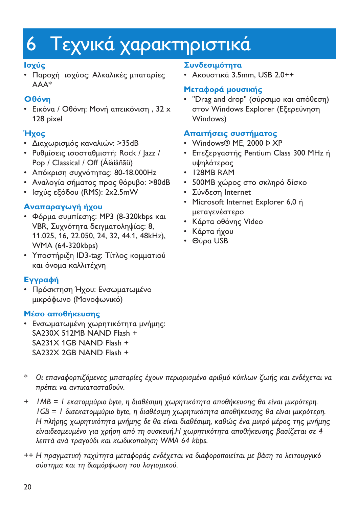# <span id="page-19-0"></span>6 Τεχνικά χαρακτηριστικά

### $\overline{\mathsf{I}}$ σχύς

• Παροχή ισχύος: Αλκαλικές μπαταρίες AAA\*

### O<sub>0</sub>óvn

• Εικόνα / Οθόνη: Μονή απεικόνιση , 32 x 128 pixel

# Ήχος

- Διαχωρισμός καναλιών: >35dB
- Ρυθμίσεις ισοσταθμιστή: Rock / Jazz / Pop / Classical / Off (Áíåíåñãü)
- Απόκριση συχνότητας: 80-18.000Hz
- Αναλογία σήματος προς θόρυβο: >80dB
- Ισχύς εξόδου (RMS): 2x2.5mW

## Αναπαραγωγή ήχου

- Φόρμα συμπίεσης: MP3 (8-320kbps και VBR, Συχνότητα δειγματοληψίας: 8, 11.025, 16, 22.050, 24, 32, 44.1, 48kHz), WMA (64-320kbps)
- Υποστήριξη ID3-tag: Τίτλος κομματιού και όνομα καλλιτέχνη

## **Εγγραφή**

• Πρόσκτηση Ήχου: Ενσωματωμένο μικρόφωνο (Μονοφωνικό)

### **Μέσο αποθήκευσης**

• Ενσωματωμένη χωρητικότητα μνήμης: SA230X 512MB NAND Flash + SA231X 1GB NAND Flash + SA232X 2GB NAND Flash +

#### **Συνδεσιμότητα**

• Ακουστικά 3.5mm, USB 2.0++

### **Μεταφορά μουσικής**

• "Drag and drop" (σύρσιμο και απόθεση) στον Windows Explorer (Εξερεύνηση Windows)

### **Απαιτήσεις συστήματος**

- Windows® ME, 2000 Þ XP
- Eπεξεργαστής Pentium Class 300 MHz ή υψηλότερος
- 128MB RAM
- 500MB χώρος στο σκληρό δίσκο
- Σύνδεση Internet
- Microsoft Internet Explorer 6,0 ή μεταγενέστερο
- Κάρτα οθόνης Video
- Κάρτα ήχου
- Θύρα USB

- \* Οι επαναφορτιζόμενες μπαταρίες έχουν περιορισμένο αριθμό κύκλων ζωής και ενδέχεται να πρέπει να αντικατασταθούν .
- + IMB = I εκατομμύριο byte, η διαθέσιμη χωρητικότητα αποθήκευσης θα είναι μικρότερη. IGB = 1 δισεκατομμύριο byte, η διαθέσιμη χωρητικότητα αποθήκευσης θα είναι μικρότερη. Η πλήρης χωρητικότητα μνήμης δε θα είναι διαθέσιμη, καθώς ένα μικρό μέρος της μνήμης είναιδεσμευμένο για χρήση από τη συσκευή.Η χωρητικότητα αποθήκευσης βασίζεται σε 4 λεπτά ανά τραγούδι και κωδικοποίηση WMA 64 kbps.
- ++ Η πραγματική ταχύτητα μεταφοράς ενδέχεται να διαφοροποιείται με βάση το λειτουργικό σύστημα και τη διαμόρφωση του λογισμικού.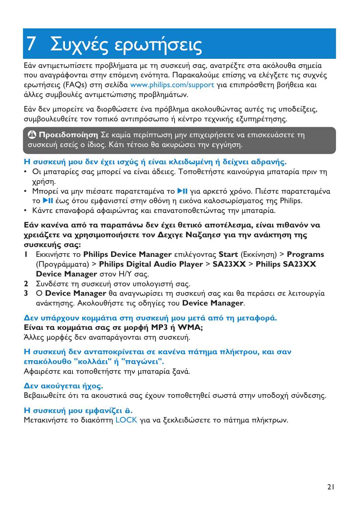# <span id="page-20-0"></span>7 Συχνές ερωτήσεις

Εάν αντιμετωπίσετε προβλήματα με τη συσκευή σας, ανατρέξτε στα ακόλουθα σημεία που αναγράφονται στην επόμενη ενότητα. Παρακαλούμε επίσης να ελέγξετε τις συχνές ερωτήσεις (FAQs) στη σελίδα <www.philips.com/support> για επιπρόσθετη βοήθεια και άλλες συμβουλές αντιμετώπισης προβλημάτων.

Εάν δεν μπορείτε να διορθώσετε ένα πρόβλημα ακολουθώντας αυτές τις υποδείξεις, συμβουλευθείτε τον τοπικό αντιπρόσωπο ή κέντρο τεχνικής εξυπηρέτησης.

**Προειδοποίηση** Σε καμία περίπτωση μην επιχειρήσετε να επισκευάσετε τη συσκευή εσείς ο ίδιος. Κάτι τέτοιο θα ακυρώσει την εγγύηση.

#### **Η συσκευή μου δεν έχει ισχύς ή είναι κλειδωμένη ή δείχνει αδρανής.**

- Οι μπαταρίες σας μπορεί να είναι άδειες. Τοποθετήστε καινούργια μπαταρία πριν τη χρήση.
- Μπορεί να μην πιέσατε παρατεταμένα το ▶Ⅱ για αρκετό χρόνο. Πιέστε παρατεταμένα το ▶ΙΙ έως ότου εμφανιστεί στην οθόνη η εικόνα καλοσωρίσματος της Philips.
- Κάντε επαναφορά αφαιρώντας και επανατοποθετώντας την μπαταρία.

#### Εάν κανένα από τα παραπάνω δεν έχει θετικό αποτέλεσμα, είναι πιθανόν να χρειάζετε να χρησιμοποιήσετε τον Δεχιγε Ναξαηεσ για την ανάκτηση της συσκευής σας:

- **I** Eκκινήστε το Philips Device Manager επιλέγοντας Start (Εκκίνηση) > Programs (& ) > **Philips Digital Audio Player** > **SA23XX** > **Philips SA23XX Device Manager** στον Η/Υ σας.
- **2** Συνδέστε τη συσκευή στον υπολογιστή σας.
- **3** O **Device Manager** θα αναγνωρίσει τη συσκευή σας και θα περάσει σε λειτουργία ανάκτησης. Ακολουθήστε τις οδηγίες του **Device Manager**.

#### Δεν υπάρχουν κομμάτια στη συσκευή μου μετά από τη μεταφορά.

### **Eίναι τα κομμάτια σας σε μορφή MP3 ή WMA;**

Άλλες μορφές δεν αναπαράγονται στη συσκευή.

#### Η συσκευή δεν ανταποκρίνεται σε κανένα πάτημα πλήκτρου, και σαν **επακόλουθο "κολλάει" ή "παγώνει".**

Αφαιρέστε και τοποθετήστε την μπαταρία ξανά.

#### Δεν ακούγεται ήχος.

Βεβαιωθείτε ότι τα ακουστικά σας έχουν τοποθετηθεί σωστά στην υποδοχή σύνδεσης.

#### **H** συσκευή μου εμφανίζει  $\theta$ .

Μετακινήστε το διακόπτη LOCK για να ξεκλειδώσετε το πάτημα πλήκτρων.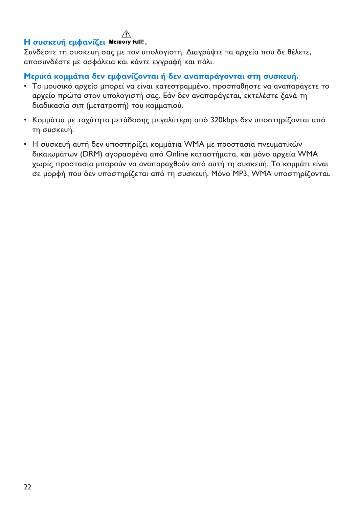#### Л

#### Η συσκευή εμφανίζει Memory full!,

Συνδέστε τη συσκευή σας με τον υπολογιστή. Διαγράψτε τα αρχεία που δε θέλετε, αποσυνδέστε με ασφάλεια και κάντε εγγραφή και πάλι.

Μερικά κομμάτια δεν εμφανίζονται ή δεν αναπαράγονται στη συσκευή.

- Το μουσικό αρχείο μπορεί να είναι κατεστραμμένο, προσπαθήστε να αναπαράγετε το αρχείο πρώτα στον υπολογιστή σας. Εάν δεν αναπαράγεται, εκτελέστε ξανά τη διαδικασία σιπ (μετατροπή) του κομματιού.
- · Κομμάτια με ταχύτητα μετάδοσης μεγαλύτερη από 320kbps δεν υποστηρίζονται από τη συσκευή.
- Η συσκευή αυτή δεν υποστηρίζει κομμάτια WMA με προστασία πνευματικών δικαιωμάτων (DRM) ανορασμένα από Online καταστήματα, και μόνο αρχεία WMA γωρίς προστασία μπορούν να αναπαραχθούν από αυτή τη συσκευή. Το κομμάτι είναι σε μορφή που δεν υποστηρίζεται από τη συσκευή. Μόνο ΜΡ3, WMA υποστηρίζονται.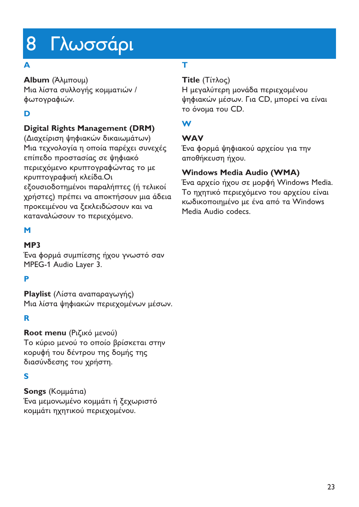# <span id="page-22-0"></span>8 Γλωσσάρι

### **A**

**Album** (Άλμπουμ)

<u>Μια λίστα συλλογής κομματιών /</u> φωτογραφιών.

## **D**

### **Digital Rights Management (DRM)**

(Διαχείριση ψηφιακών δικαιωμάτων) Μια τεχνολογία η οποία παρέχει συνεχές επίπεδο προστασίας σε ψηφιακό περιεχόμενο κρυπτογραφώντας το με κρυπτογραφική κλείδα.Οι εξουσιοδοτημένοι παραλήπτες (ή τελικοί χρήστες) πρέπει να αποκτήσουν μια άδεια προκειμένου να ξεκλειδώσουν και να καταναλώσουν το περιεχόμενο.

### **M**

### **MP3**

Ένα φορμά συμπίεσης ήχου γνωστό σαν MPEG-1 Audio Layer 3.

### **P**

**Playlist** (Λίστα αναπαραγωγής) Μια λίστα ψηφιακών περιεχομένων μέσων.

#### **R**

**Root menu** (Ριζικό μενού)

Το κύριο μενού το οποίο βρίσκεται στην κορυφή του δέντρου της δομής της διασύνδεσης του χρήστη.

## **S**

**Songs** (Κομμάτια) Ένα μεμονωμένο κομμάτι ή ξεχωριστό κομμάτι ηχητικού περιεχομένου.

## **T**

### **Title** (Τίτλος)

Η μεγαλύτερη μονάδα περιεχομένου ψηφιακών μέσων. Για CD, μπορεί να είναι το όνομα του CD.

### **W**

#### **WAV**

Ένα φορμά ψηφιακού αρχείου για την αποθήκευση ήχου.

### **Windows Media Audio (WMA)**

Ένα αρχείο ήχου σε μορφή Windows Media. Το ηχητικό περιεχόμενο του αρχείου είναι κωδικοποιημένο με ένα από τα Windows Media Audio codecs.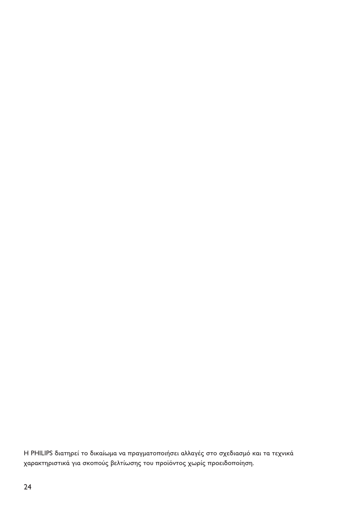Η PHILIPS διατηρεί το δικαίωμα να πραγματοποιήσει αλλαγές στο σχεδιασμό και τα τεχνικά χαρακτηριστικά για σκοπούς βελτίωσης του προϊόντος χωρίς προειδοποίηση.